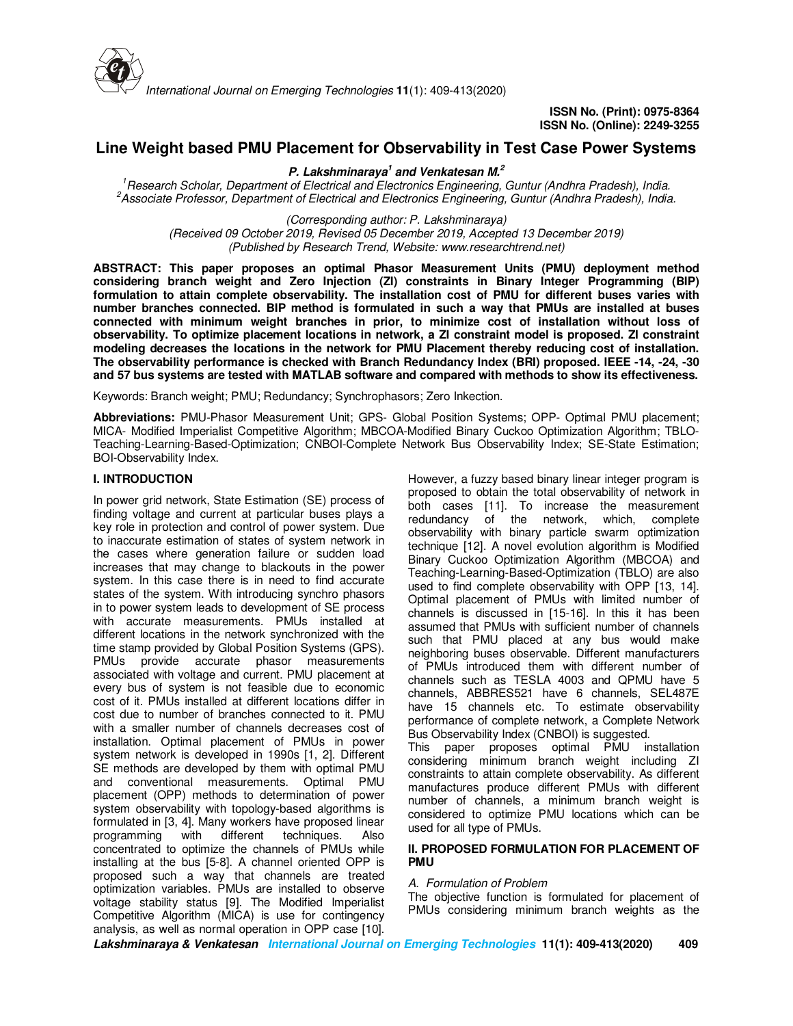

# **Line Weight based PMU Placement for Observability in Test Case Power Systems**

**P. Lakshminaraya<sup>1</sup> and Venkatesan M.<sup>2</sup>**

*<sup>1</sup>Research Scholar, Department of Electrical and Electronics Engineering, Guntur (Andhra Pradesh), India. <sup>2</sup>Associate Professor, Department of Electrical and Electronics Engineering, Guntur (Andhra Pradesh), India.*

*(Corresponding author: P. Lakshminaraya) (Received 09 October 2019, Revised 05 December 2019, Accepted 13 December 2019) (Published by Research Trend, Website: www.researchtrend.net)*

**ABSTRACT: This paper proposes an optimal Phasor Measurement Units (PMU) deployment method considering branch weight and Zero Injection (ZI) constraints in Binary Integer Programming (BIP) formulation to attain complete observability. The installation cost of PMU for different buses varies with number branches connected. BIP method is formulated in such a way that PMUs are installed at buses connected with minimum weight branches in prior, to minimize cost of installation without loss of observability. To optimize placement locations in network, a ZI constraint model is proposed. ZI constraint modeling decreases the locations in the network for PMU Placement thereby reducing cost of installation. The observability performance is checked with Branch Redundancy Index (BRI) proposed. IEEE -14, -24, -30 and 57 bus systems are tested with MATLAB software and compared with methods to show its effectiveness.** 

Keywords: Branch weight; PMU; Redundancy; Synchrophasors; Zero Inkection.

**Abbreviations:** PMU-Phasor Measurement Unit; GPS- Global Position Systems; OPP- Optimal PMU placement; MICA- Modified Imperialist Competitive Algorithm; MBCOA-Modified Binary Cuckoo Optimization Algorithm; TBLO-Teaching-Learning-Based-Optimization; CNBOI-Complete Network Bus Observability Index; SE-State Estimation; BOI-Observability Index.

### **I. INTRODUCTION**

In power grid network, State Estimation (SE) process of finding voltage and current at particular buses plays a key role in protection and control of power system. Due to inaccurate estimation of states of system network in the cases where generation failure or sudden load increases that may change to blackouts in the power system. In this case there is in need to find accurate states of the system. With introducing synchro phasors in to power system leads to development of SE process with accurate measurements. PMUs installed at different locations in the network synchronized with the time stamp provided by Global Position Systems (GPS). PMUs provide accurate phasor measurements associated with voltage and current. PMU placement at every bus of system is not feasible due to economic cost of it. PMUs installed at different locations differ in cost due to number of branches connected to it. PMU with a smaller number of channels decreases cost of installation. Optimal placement of PMUs in power system network is developed in 1990s [1, 2]. Different SE methods are developed by them with optimal PMU and conventional measurements. Optimal PMU placement (OPP) methods to determination of power system observability with topology-based algorithms is formulated in [3, 4]. Many workers have proposed linear different techniques. concentrated to optimize the channels of PMUs while installing at the bus [5-8]. A channel oriented OPP is proposed such a way that channels are treated optimization variables. PMUs are installed to observe voltage stability status [9]. The Modified Imperialist Competitive Algorithm (MICA) is use for contingency analysis, as well as normal operation in OPP case [10].

However, a fuzzy based binary linear integer program is proposed to obtain the total observability of network in both cases [11]. To increase the measurement redundancy of the network, which, complete observability with binary particle swarm optimization technique [12]. A novel evolution algorithm is Modified Binary Cuckoo Optimization Algorithm (MBCOA) and Teaching-Learning-Based-Optimization (TBLO) are also used to find complete observability with OPP [13, 14]. Optimal placement of PMUs with limited number of channels is discussed in [15-16]. In this it has been assumed that PMUs with sufficient number of channels such that PMU placed at any bus would make neighboring buses observable. Different manufacturers of PMUs introduced them with different number of channels such as TESLA 4003 and QPMU have 5 channels, ABBRES521 have 6 channels, SEL487E have 15 channels etc. To estimate observability performance of complete network, a Complete Network Bus Observability Index (CNBOI) is suggested.

This paper proposes optimal PMU installation considering minimum branch weight including ZI constraints to attain complete observability. As different manufactures produce different PMUs with different number of channels, a minimum branch weight is considered to optimize PMU locations which can be used for all type of PMUs.

### **II. PROPOSED FORMULATION FOR PLACEMENT OF PMU**

### *A. Formulation of Problem*

The objective function is formulated for placement of PMUs considering minimum branch weights as the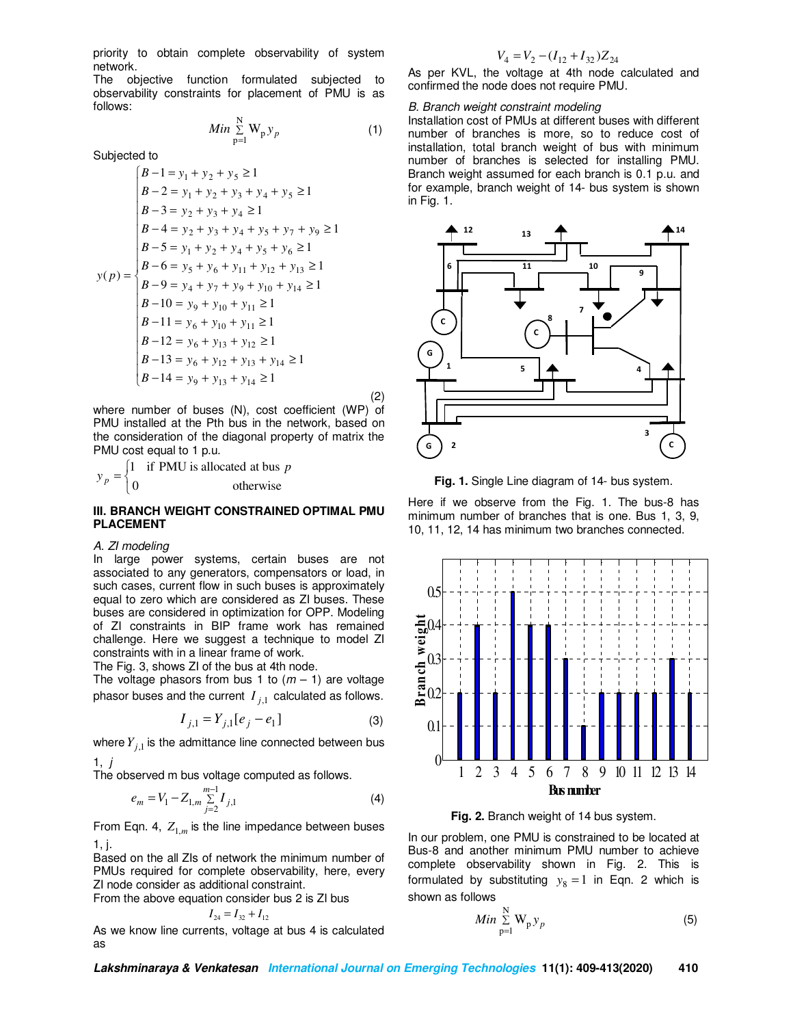priority to obtain complete observability of system network.

The objective function formulated subjected to observability constraints for placement of PMU is as follows:

$$
Min \sum_{p=1}^{N} W_p y_p \tag{1}
$$

Subjected to

$$
B-1 = y_1 + y_2 + y_5 \ge 1
$$
  
\n
$$
B-2 = y_1 + y_2 + y_3 + y_4 + y_5 \ge 1
$$
  
\n
$$
B-3 = y_2 + y_3 + y_4 \ge 1
$$
  
\n
$$
B-4 = y_2 + y_3 + y_4 + y_5 + y_7 + y_9 \ge 1
$$
  
\n
$$
B-5 = y_1 + y_2 + y_4 + y_5 + y_6 \ge 1
$$
  
\n
$$
B-6 = y_5 + y_6 + y_{11} + y_{12} + y_{13} \ge 1
$$
  
\n
$$
B-9 = y_4 + y_7 + y_9 + y_{10} + y_{14} \ge 1
$$
  
\n
$$
B-10 = y_9 + y_{10} + y_{11} \ge 1
$$
  
\n
$$
B-12 = y_6 + y_{13} + y_{12} \ge 1
$$
  
\n
$$
B-13 = y_6 + y_{13} + y_{14} \ge 1
$$

(2) where number of buses (N), cost coefficient (WP) of PMU installed at the Pth bus in the network, based on the consideration of the diagonal property of matrix the PMU cost equal to 1 p.u.

 $\mathfrak{c}$ ∤ 1 if PMU is allocated at bus *p* = otherwise *y p*

#### **III. BRANCH WEIGHT CONSTRAINED OPTIMAL PMU PLACEMENT**

#### *A. ZI modeling*

In large power systems, certain buses are not associated to any generators, compensators or load, in such cases, current flow in such buses is approximately equal to zero which are considered as ZI buses. These buses are considered in optimization for OPP. Modeling of ZI constraints in BIP frame work has remained challenge. Here we suggest a technique to model ZI constraints with in a linear frame of work.

The Fig. 3, shows ZI of the bus at 4th node.

The voltage phasors from bus 1 to  $(m - 1)$  are voltage phasor buses and the current  $I_{j,1}$  calculated as follows.

$$
I_{j,1} = Y_{j,1}[e_j - e_1]
$$
 (3)

where  $Y_{j,1}$  is the admittance line connected between bus 1, *j*

The observed m bus voltage computed as follows.

$$
e_m = V_1 - Z_{1,m} \sum_{j=2}^{m-1} I_{j,1}
$$
 (4)

From Eqn. 4,  $Z_{1,m}$  is the line impedance between buses 1, j.

Based on the all ZIs of network the minimum number of PMUs required for complete observability, here, every ZI node consider as additional constraint. From the ab

pose equation consider bus 2 is 
$$
Zl
$$
 bus

\n
$$
I_{24} = I_{32} + I_{12}
$$

As we know line currents, voltage at bus 4 is calculated as

$$
V_4 = V_2 - (I_{12} + I_{32})Z_{24}
$$

 $\overline{a}$ As per KVL, the voltage at 4th node calculated and confirmed the node does not require PMU.

#### *B. Branch weight constraint modeling*

Installation cost of PMUs at different buses with different number of branches is more, so to reduce cost of installation, total branch weight of bus with minimum number of branches is selected for installing PMU. Branch weight assumed for each branch is 0.1 p.u. and for example, branch weight of 14- bus system is shown in Fig. 1.



**Fig. 1.** Single Line diagram of 14- bus system.

Here if we observe from the Fig. 1. The bus-8 has minimum number of branches that is one. Bus 1, 3, 9, 10, 11, 12, 14 has minimum two branches connected.



**Fig. 2.** Branch weight of 14 bus system.

In our problem, one PMU is constrained to be located at Bus-8 and another minimum PMU number to achieve complete observability shown in Fig. 2. This is formulated by substituting  $y_8 = 1$  in Eqn. 2 which is shown as follows

$$
Min \sum_{p=1}^{N} W_p y_p \tag{5}
$$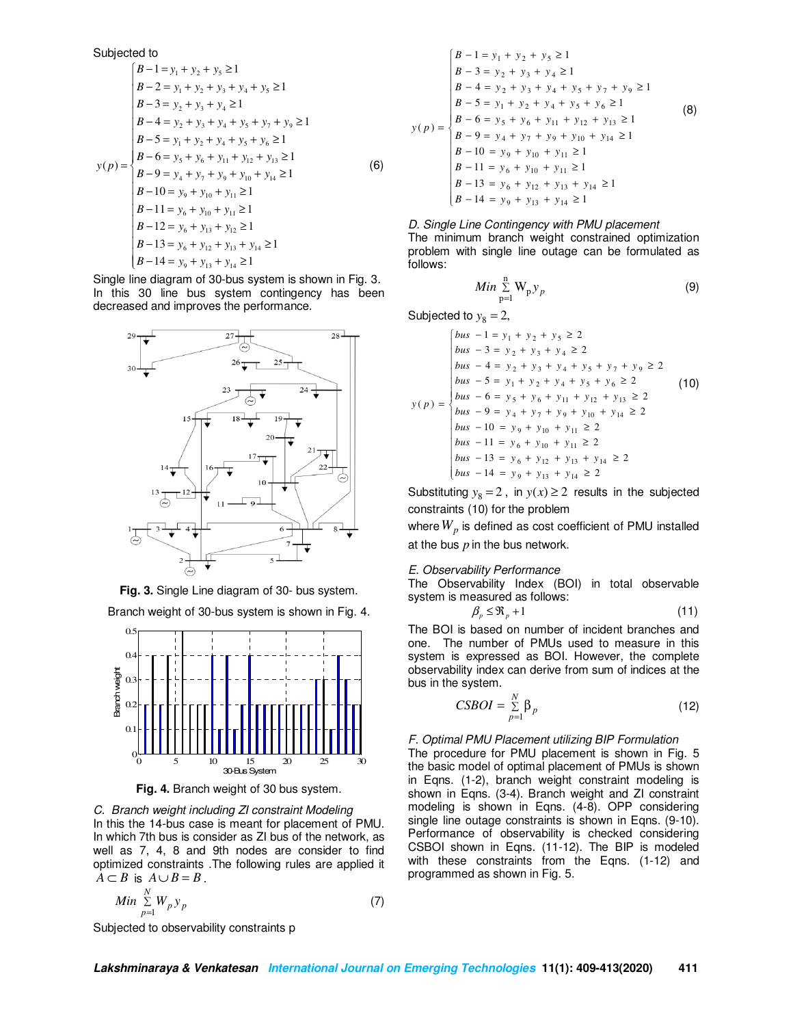Subjected to  
\n
$$
\begin{cases}\nB-1 = y_1 + y_2 + y_3 \ge 1 \\
B-2 = y_1 + y_2 + y_3 + y_4 + y_5 \ge 1 \\
B-3 = y_2 + y_3 + y_4 \ge 1 \\
B-4 = y_2 + y_3 + y_4 + y_5 + y_7 + y_9 \ge 1 \\
B-5 = y_1 + y_2 + y_4 + y_5 + y_6 \ge 1 \\
B-6 = y_5 + y_6 + y_{11} + y_{12} + y_{13} \ge 1 \\
B-9 = y_4 + y_7 + y_9 + y_{10} + y_{14} \ge 1 \\
B-10 = y_9 + y_{10} + y_{11} \ge 1 \\
B-11 = y_6 + y_{10} + y_{11} \ge 1 \\
B-12 = y_6 + y_{13} + y_{12} \ge 1 \\
B-13 = y_6 + y_{13} + y_{13} \ge 1 \\
B-14 = y_9 + y_{13} + y_{14} \ge 1\n\end{cases}
$$
\n(6)

Single line diagram of 30-bus system is shown in Fig. 3. In this 30 line bus system contingency has been decreased and improves the performance.





Branch weight of 30-bus system is shown in Fig. 4.



**Fig. 4.** Branch weight of 30 bus system.

*C. Branch weight including ZI constraint Modeling*  In this the 14-bus case is meant for placement of PMU. In which 7th bus is consider as ZI bus of the network, as well as 7, 4, 8 and 9th nodes are consider to find optimized constraints .The following rules are applied it  $A \subset B$  is  $A \cup B = B$ .

$$
Min \sum_{p=1}^{N} W_p y_p \tag{7}
$$

 $\overline{\phantom{a}}$  $B - 13 = y_6 + y_{12} + y_{13} + y_{14} \ge 1$  $\overline{ }$  $\overline{ }$  $\overline{ }$  $\overline{ }$  $\left(B - 14 = y_9 + y_{13} + y_{14} \ge 1\right]$  $\overline{\phantom{a}}$  $\overline{ }$  $\overline{ }$  $\overline{ }$  $\overline{ }$  $(p) = \begin{cases} B - 6 = y_5 + y_6 + y_{11} + y_{12} + y_{13} \ge 1 \\ D_0 & \end{cases}$  $B - 1 = y_1 + y_2 + y_5 \ge 1$  $B - 11 = y_6 + y_{10} + y_{11} \ge 1$  $B - 10 = y_9 + y_{10} + y_{11} \ge 1$  $B - 9 = y_4 + y_7 + y_9 + y_{10} + y_{14} \ge 1$  $B - 5 = y_1 + y_2 + y_4 + y_5 + y_6 \ge 1$  $B - 4 = y_2 + y_3 + y_4 + y_5 + y_7 + y_9 \ge 1$  $B - 3 = y_2 + y_3 + y_4 \ge 1$  $1 + y_2 + y_4 + y_5 + y_6$  $y(p) = \begin{cases} B - 6 = y_5 + y_6 + y_{11} + y_{12} + y_7 \end{cases}$ (8)

#### *D. Single Line Contingency with PMU placement*

The minimum branch weight constrained optimization problem with single line outage can be formulated as follows:

$$
Min \sum_{p=1}^{n} W_p y_p \tag{9}
$$

Subjected to  $y_8 = 2$ ,

*y p*

$$
f(t) = \begin{cases} \n bus -1 = y_1 + y_2 + y_5 \ge 2 \\ \n bus -3 = y_2 + y_3 + y_4 \ge 2 \\ \n bus -4 = y_2 + y_3 + y_4 + y_5 + y_7 + y_9 \ge 2 \\ \n bus -5 = y_1 + y_2 + y_4 + y_5 + y_6 \ge 2 \\ \n bus -6 = y_5 + y_6 + y_{11} + y_{12} + y_{13} \ge 2 \\ \n bus -9 = y_4 + y_7 + y_9 + y_{10} + y_{14} \ge 2 \\ \n bus -10 = y_9 + y_{10} + y_{11} \ge 2 \\ \n bus -11 = y_6 + y_{10} + y_{11} \ge 2 \\ \n bus -13 = y_6 + y_{12} + y_{13} + y_{14} \ge 2 \\ \n bus -14 = y_9 + y_{13} + y_{14} \ge 2 \n\end{cases} (10)
$$

Substituting  $y_8 = 2$ , in  $y(x) \ge 2$  results in the subjected constraints (10) for the problem

where  $W_p$  is defined as cost coefficient of PMU installed at the bus *p* in the bus network.

#### *E. Observability Performance*

The Observability Index (BOI) in total observable system is measured as follows:

$$
\beta_p \leq \Re_p + 1 \tag{11}
$$

The BOI is based on number of incident branches and one. The number of PMUs used to measure in this system is expressed as BOI. However, the complete observability index can derive from sum of indices at the bus in the system.

$$
CSBOI = \sum_{p=1}^{N} \beta_p
$$
 (12)

### *F. Optimal PMU Placement utilizing BIP Formulation*

The procedure for PMU placement is shown in Fig. 5 the basic model of optimal placement of PMUs is shown in Eqns. (1-2), branch weight constraint modeling is shown in Eqns. (3-4). Branch weight and ZI constraint modeling is shown in Eqns. (4-8). OPP considering single line outage constraints is shown in Eqns. (9-10). Performance of observability is checked considering CSBOI shown in Eqns. (11-12). The BIP is modeled with these constraints from the Eqns. (1-12) and programmed as shown in Fig. 5.

l. Subjected to observability constraints p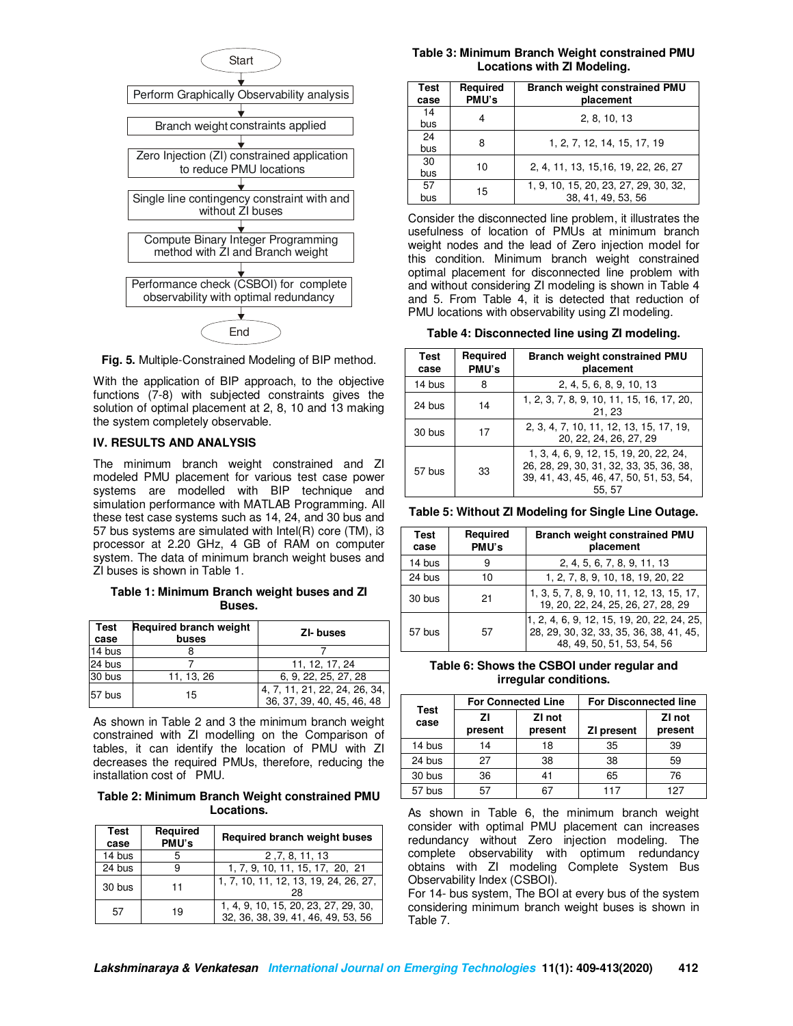

**Fig. 5.** Multiple-Constrained Modeling of BIP method.

With the application of BIP approach, to the objective functions (7-8) with subjected constraints gives the solution of optimal placement at 2, 8, 10 and 13 making the system completely observable.

### **IV. RESULTS AND ANALYSIS**

The minimum branch weight constrained and ZI modeled PMU placement for various test case power systems are modelled with BIP technique and simulation performance with MATLAB Programming. All these test case systems such as 14, 24, and 30 bus and 57 bus systems are simulated with Intel(R) core (TM), i3 processor at 2.20 GHz, 4 GB of RAM on computer system. The data of minimum branch weight buses and ZI buses is shown in Table 1.

### **Table 1: Minimum Branch weight buses and ZI Buses.**

| <b>Test</b><br>case | <b>Required branch weight</b><br>buses | ZI-buses                                                    |
|---------------------|----------------------------------------|-------------------------------------------------------------|
| 14 bus              |                                        |                                                             |
| 24 bus              |                                        | 11, 12, 17, 24                                              |
| 30 bus              | 11, 13, 26                             | 6, 9, 22, 25, 27, 28                                        |
| 57 bus              | 15                                     | 4, 7, 11, 21, 22, 24, 26, 34,<br>36, 37, 39, 40, 45, 46, 48 |

As shown in Table 2 and 3 the minimum branch weight constrained with ZI modelling on the Comparison of tables, it can identify the location of PMU with ZI decreases the required PMUs, therefore, reducing the installation cost of PMU.

#### **Table 2: Minimum Branch Weight constrained PMU Locations.**

| <b>Test</b><br>case | Required<br>PMU's | <b>Required branch weight buses</b>                                        |  |  |
|---------------------|-------------------|----------------------------------------------------------------------------|--|--|
| 14 bus              |                   | 2, 7, 8, 11, 13                                                            |  |  |
| 24 bus              | 9                 | 1, 7, 9, 10, 11, 15, 17, 20, 21                                            |  |  |
| 30 bus              | 11                | 1, 7, 10, 11, 12, 13, 19, 24, 26, 27,<br>28                                |  |  |
| .57                 | 19                | 1, 4, 9, 10, 15, 20, 23, 27, 29, 30,<br>32, 36, 38, 39, 41, 46, 49, 53, 56 |  |  |

#### **Table 3: Minimum Branch Weight constrained PMU Locations with ZI Modeling.**

| Test<br>case | Reguired<br>PMU's | <b>Branch weight constrained PMU</b><br>placement |  |  |  |  |
|--------------|-------------------|---------------------------------------------------|--|--|--|--|
| 14           |                   | 2, 8, 10, 13                                      |  |  |  |  |
| bus          |                   |                                                   |  |  |  |  |
| 24           | 8                 | 1, 2, 7, 12, 14, 15, 17, 19                       |  |  |  |  |
| bus          |                   |                                                   |  |  |  |  |
| 30           | 10                | 2, 4, 11, 13, 15, 16, 19, 22, 26, 27              |  |  |  |  |
| bus          |                   |                                                   |  |  |  |  |
| 57           | 15                | 1, 9, 10, 15, 20, 23, 27, 29, 30, 32,             |  |  |  |  |
| bus          |                   | 38, 41, 49, 53, 56                                |  |  |  |  |

Consider the disconnected line problem, it illustrates the usefulness of location of PMUs at minimum branch weight nodes and the lead of Zero injection model for this condition. Minimum branch weight constrained optimal placement for disconnected line problem with and without considering ZI modeling is shown in Table 4 and 5. From Table 4, it is detected that reduction of PMU locations with observability using ZI modeling.

**Table 4: Disconnected line using ZI modeling.** 

| Test<br>case | Required<br>PMU's | <b>Branch weight constrained PMU</b><br>placement                                                                                     |  |  |
|--------------|-------------------|---------------------------------------------------------------------------------------------------------------------------------------|--|--|
| 14 bus       | 8                 | 2, 4, 5, 6, 8, 9, 10, 13                                                                                                              |  |  |
| 24 bus       | 14                | 1, 2, 3, 7, 8, 9, 10, 11, 15, 16, 17, 20,<br>21, 23                                                                                   |  |  |
| 30 bus       | 17                | 2, 3, 4, 7, 10, 11, 12, 13, 15, 17, 19,<br>20, 22, 24, 26, 27, 29                                                                     |  |  |
| 57 bus<br>33 |                   | 1, 3, 4, 6, 9, 12, 15, 19, 20, 22, 24,<br>26, 28, 29, 30, 31, 32, 33, 35, 36, 38,<br>39, 41, 43, 45, 46, 47, 50, 51, 53, 54,<br>55.57 |  |  |

**Table 5: Without ZI Modeling for Single Line Outage.** 

| Test<br>case | Required<br>PMU's | <b>Branch weight constrained PMU</b><br>placement                                                                   |  |  |  |
|--------------|-------------------|---------------------------------------------------------------------------------------------------------------------|--|--|--|
| 14 bus       | 9                 | 2, 4, 5, 6, 7, 8, 9, 11, 13                                                                                         |  |  |  |
| 24 bus       | 10                | 1, 2, 7, 8, 9, 10, 18, 19, 20, 22                                                                                   |  |  |  |
| 30 bus       | 21                | 1, 3, 5, 7, 8, 9, 10, 11, 12, 13, 15, 17,<br>19, 20, 22, 24, 25, 26, 27, 28, 29                                     |  |  |  |
| 57 bus       | 57                | 1, 2, 4, 6, 9, 12, 15, 19, 20, 22, 24, 25,<br>28, 29, 30, 32, 33, 35, 36, 38, 41, 45,<br>48. 49. 50. 51. 53. 54. 56 |  |  |  |

**Table 6: Shows the CSBOI under regular and irregular conditions.** 

|              |               | <b>For Connected Line</b> | <b>For Disconnected line</b> |                   |  |
|--------------|---------------|---------------------------|------------------------------|-------------------|--|
| Test<br>case | ΖI<br>present | ZI not<br>present         | <b>ZI present</b>            | ZI not<br>present |  |
| 14 bus       | 14            | 18                        | 35                           | 39                |  |
| 24 bus       | 27            | 38                        | 38                           | 59                |  |
| 30 bus       | 36            |                           | 65                           | 76                |  |
| 57 bus       | 57            |                           | 117                          | 127               |  |

As shown in Table 6, the minimum branch weight consider with optimal PMU placement can increases redundancy without Zero injection modeling. The complete observability with optimum redundancy obtains with ZI modeling Complete System Bus Observability Index (CSBOI).

For 14- bus system, The BOI at every bus of the system considering minimum branch weight buses is shown in Table 7.